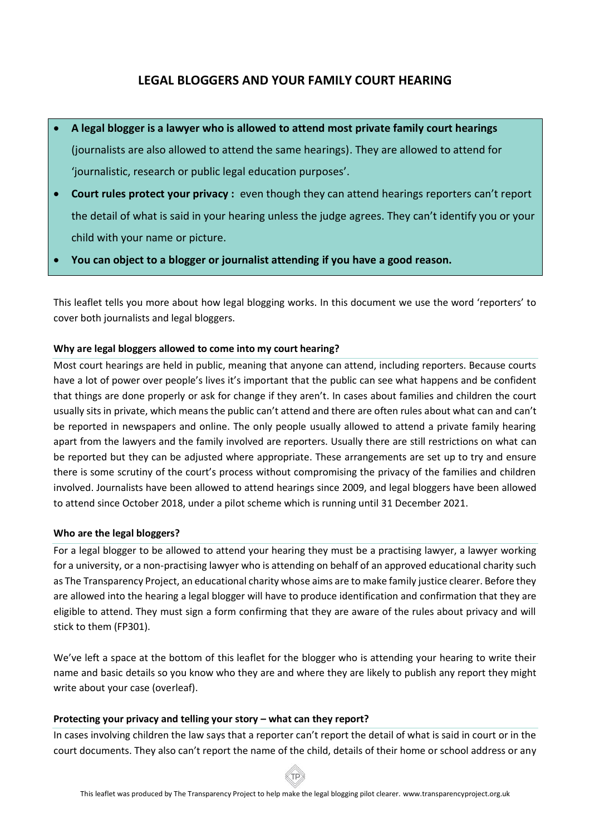# **LEGAL BLOGGERS AND YOUR FAMILY COURT HEARING**

- **A legal blogger is a lawyer who is allowed to attend most private family court hearings**  (journalists are also allowed to attend the same hearings). They are allowed to attend for 'journalistic, research or public legal education purposes'.
- **Court rules protect your privacy :** even though they can attend hearings reporters can't report the detail of what is said in your hearing unless the judge agrees. They can't identify you or your child with your name or picture.
- **You can object to a blogger or journalist attending if you have a good reason.**

This leaflet tells you more about how legal blogging works. In this document we use the word 'reporters' to cover both journalists and legal bloggers.

# **Why are legal bloggers allowed to come into my court hearing?**

Most court hearings are held in public, meaning that anyone can attend, including reporters. Because courts have a lot of power over people's lives it's important that the public can see what happens and be confident that things are done properly or ask for change if they aren't. In cases about families and children the court usually sits in private, which means the public can't attend and there are often rules about what can and can't be reported in newspapers and online. The only people usually allowed to attend a private family hearing apart from the lawyers and the family involved are reporters. Usually there are still restrictions on what can be reported but they can be adjusted where appropriate. These arrangements are set up to try and ensure there is some scrutiny of the court's process without compromising the privacy of the families and children involved. Journalists have been allowed to attend hearings since 2009, and legal bloggers have been allowed to attend since October 2018, under a pilot scheme which is running until 31 December 2021.

### **Who are the legal bloggers?**

For a legal blogger to be allowed to attend your hearing they must be a practising lawyer, a lawyer working for a university, or a non-practising lawyer who is attending on behalf of an approved educational charity such as The Transparency Project, an educational charity whose aims are to make family justice clearer. Before they are allowed into the hearing a legal blogger will have to produce identification and confirmation that they are eligible to attend. They must sign a form confirming that they are aware of the rules about privacy and will stick to them (FP301).

We've left a space at the bottom of this leaflet for the blogger who is attending your hearing to write their name and basic details so you know who they are and where they are likely to publish any report they might write about your case (overleaf).

### **Protecting your privacy and telling your story – what can they report?**

In cases involving children the law says that a reporter can't report the detail of what is said in court or in the court documents. They also can't report the name of the child, details of their home or school address or any